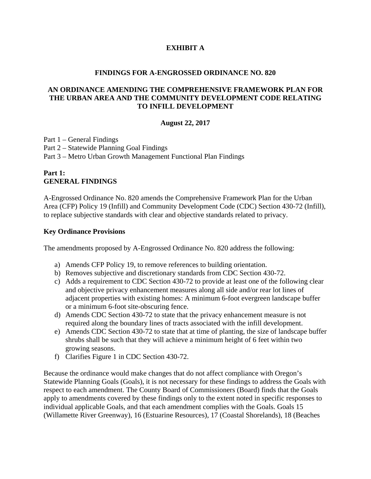# **EXHIBIT A**

#### **FINDINGS FOR A-ENGROSSED ORDINANCE NO. 820**

## **AN ORDINANCE AMENDING THE COMPREHENSIVE FRAMEWORK PLAN FOR THE URBAN AREA AND THE COMMUNITY DEVELOPMENT CODE RELATING TO INFILL DEVELOPMENT**

## **August 22, 2017**

Part 1 – General Findings Part 2 – Statewide Planning Goal Findings Part 3 – Metro Urban Growth Management Functional Plan Findings

# **Part 1: GENERAL FINDINGS**

A-Engrossed Ordinance No. 820 amends the Comprehensive Framework Plan for the Urban Area (CFP) Policy 19 (Infill) and Community Development Code (CDC) Section 430-72 (Infill), to replace subjective standards with clear and objective standards related to privacy.

## **Key Ordinance Provisions**

The amendments proposed by A-Engrossed Ordinance No. 820 address the following:

- a) Amends CFP Policy 19, to remove references to building orientation.
- b) Removes subjective and discretionary standards from CDC Section 430-72.
- c) Adds a requirement to CDC Section 430-72 to provide at least one of the following clear and objective privacy enhancement measures along all side and/or rear lot lines of adjacent properties with existing homes: A minimum 6-foot evergreen landscape buffer or a minimum 6-foot site-obscuring fence.
- d) Amends CDC Section 430-72 to state that the privacy enhancement measure is not required along the boundary lines of tracts associated with the infill development.
- e) Amends CDC Section 430-72 to state that at time of planting, the size of landscape buffer shrubs shall be such that they will achieve a minimum height of 6 feet within two growing seasons.
- f) Clarifies Figure 1 in CDC Section 430-72.

Because the ordinance would make changes that do not affect compliance with Oregon's Statewide Planning Goals (Goals), it is not necessary for these findings to address the Goals with respect to each amendment. The County Board of Commissioners (Board) finds that the Goals apply to amendments covered by these findings only to the extent noted in specific responses to individual applicable Goals, and that each amendment complies with the Goals. Goals 15 (Willamette River Greenway), 16 (Estuarine Resources), 17 (Coastal Shorelands), 18 (Beaches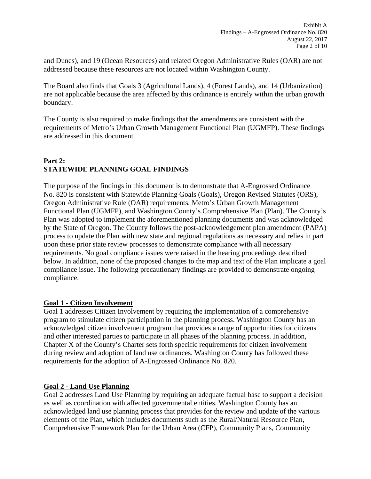and Dunes), and 19 (Ocean Resources) and related Oregon Administrative Rules (OAR) are not addressed because these resources are not located within Washington County.

The Board also finds that Goals 3 (Agricultural Lands), 4 (Forest Lands), and 14 (Urbanization) are not applicable because the area affected by this ordinance is entirely within the urban growth boundary.

The County is also required to make findings that the amendments are consistent with the requirements of Metro's Urban Growth Management Functional Plan (UGMFP). These findings are addressed in this document.

# **Part 2: STATEWIDE PLANNING GOAL FINDINGS**

The purpose of the findings in this document is to demonstrate that A-Engrossed Ordinance No. 820 is consistent with Statewide Planning Goals (Goals), Oregon Revised Statutes (ORS), Oregon Administrative Rule (OAR) requirements, Metro's Urban Growth Management Functional Plan (UGMFP), and Washington County's Comprehensive Plan (Plan). The County's Plan was adopted to implement the aforementioned planning documents and was acknowledged by the State of Oregon. The County follows the post-acknowledgement plan amendment (PAPA) process to update the Plan with new state and regional regulations as necessary and relies in part upon these prior state review processes to demonstrate compliance with all necessary requirements. No goal compliance issues were raised in the hearing proceedings described below. In addition, none of the proposed changes to the map and text of the Plan implicate a goal compliance issue. The following precautionary findings are provided to demonstrate ongoing compliance.

# **Goal 1 - Citizen Involvement**

Goal 1 addresses Citizen Involvement by requiring the implementation of a comprehensive program to stimulate citizen participation in the planning process. Washington County has an acknowledged citizen involvement program that provides a range of opportunities for citizens and other interested parties to participate in all phases of the planning process. In addition, Chapter X of the County's Charter sets forth specific requirements for citizen involvement during review and adoption of land use ordinances. Washington County has followed these requirements for the adoption of A-Engrossed Ordinance No. 820.

# **Goal 2 - Land Use Planning**

Goal 2 addresses Land Use Planning by requiring an adequate factual base to support a decision as well as coordination with affected governmental entities. Washington County has an acknowledged land use planning process that provides for the review and update of the various elements of the Plan, which includes documents such as the Rural/Natural Resource Plan, Comprehensive Framework Plan for the Urban Area (CFP), Community Plans, Community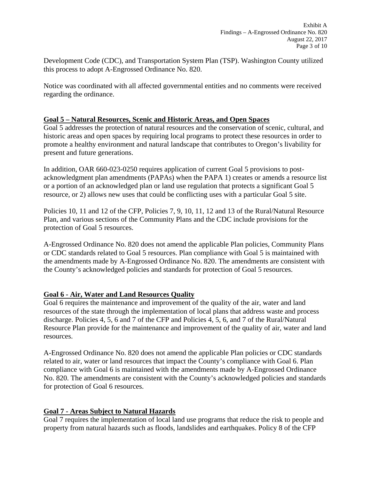Development Code (CDC), and Transportation System Plan (TSP). Washington County utilized this process to adopt A-Engrossed Ordinance No. 820.

Notice was coordinated with all affected governmental entities and no comments were received regarding the ordinance.

# **Goal 5 – Natural Resources, Scenic and Historic Areas, and Open Spaces**

Goal 5 addresses the protection of natural resources and the conservation of scenic, cultural, and historic areas and open spaces by requiring local programs to protect these resources in order to promote a healthy environment and natural landscape that contributes to Oregon's livability for present and future generations.

In addition, OAR 660-023-0250 requires application of current Goal 5 provisions to postacknowledgment plan amendments (PAPAs) when the PAPA 1) creates or amends a resource list or a portion of an acknowledged plan or land use regulation that protects a significant Goal 5 resource, or 2) allows new uses that could be conflicting uses with a particular Goal 5 site.

Policies 10, 11 and 12 of the CFP, Policies 7, 9, 10, 11, 12 and 13 of the Rural/Natural Resource Plan, and various sections of the Community Plans and the CDC include provisions for the protection of Goal 5 resources.

A-Engrossed Ordinance No. 820 does not amend the applicable Plan policies, Community Plans or CDC standards related to Goal 5 resources. Plan compliance with Goal 5 is maintained with the amendments made by A-Engrossed Ordinance No. 820. The amendments are consistent with the County's acknowledged policies and standards for protection of Goal 5 resources.

# **Goal 6 - Air, Water and Land Resources Quality**

Goal 6 requires the maintenance and improvement of the quality of the air, water and land resources of the state through the implementation of local plans that address waste and process discharge. Policies 4, 5, 6 and 7 of the CFP and Policies 4, 5, 6, and 7 of the Rural/Natural Resource Plan provide for the maintenance and improvement of the quality of air, water and land resources.

A-Engrossed Ordinance No. 820 does not amend the applicable Plan policies or CDC standards related to air, water or land resources that impact the County's compliance with Goal 6. Plan compliance with Goal 6 is maintained with the amendments made by A-Engrossed Ordinance No. 820. The amendments are consistent with the County's acknowledged policies and standards for protection of Goal 6 resources.

# **Goal 7 - Areas Subject to Natural Hazards**

Goal 7 requires the implementation of local land use programs that reduce the risk to people and property from natural hazards such as floods, landslides and earthquakes. Policy 8 of the CFP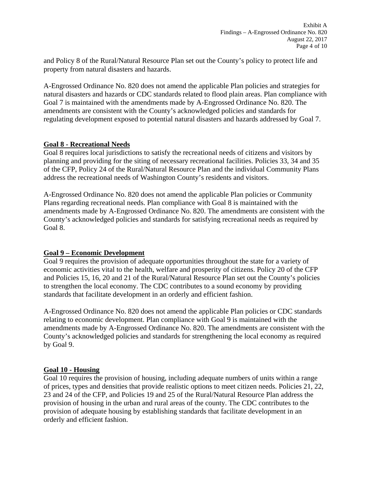and Policy 8 of the Rural/Natural Resource Plan set out the County's policy to protect life and property from natural disasters and hazards.

A-Engrossed Ordinance No. 820 does not amend the applicable Plan policies and strategies for natural disasters and hazards or CDC standards related to flood plain areas. Plan compliance with Goal 7 is maintained with the amendments made by A-Engrossed Ordinance No. 820. The amendments are consistent with the County's acknowledged policies and standards for regulating development exposed to potential natural disasters and hazards addressed by Goal 7.

# **Goal 8 - Recreational Needs**

Goal 8 requires local jurisdictions to satisfy the recreational needs of citizens and visitors by planning and providing for the siting of necessary recreational facilities. Policies 33, 34 and 35 of the CFP, Policy 24 of the Rural/Natural Resource Plan and the individual Community Plans address the recreational needs of Washington County's residents and visitors.

A-Engrossed Ordinance No. 820 does not amend the applicable Plan policies or Community Plans regarding recreational needs. Plan compliance with Goal 8 is maintained with the amendments made by A-Engrossed Ordinance No. 820. The amendments are consistent with the County's acknowledged policies and standards for satisfying recreational needs as required by Goal 8.

# **Goal 9 – Economic Development**

Goal 9 requires the provision of adequate opportunities throughout the state for a variety of economic activities vital to the health, welfare and prosperity of citizens. Policy 20 of the CFP and Policies 15, 16, 20 and 21 of the Rural/Natural Resource Plan set out the County's policies to strengthen the local economy. The CDC contributes to a sound economy by providing standards that facilitate development in an orderly and efficient fashion.

A-Engrossed Ordinance No. 820 does not amend the applicable Plan policies or CDC standards relating to economic development. Plan compliance with Goal 9 is maintained with the amendments made by A-Engrossed Ordinance No. 820. The amendments are consistent with the County's acknowledged policies and standards for strengthening the local economy as required by Goal 9.

# **Goal 10 - Housing**

Goal 10 requires the provision of housing, including adequate numbers of units within a range of prices, types and densities that provide realistic options to meet citizen needs. Policies 21, 22, 23 and 24 of the CFP, and Policies 19 and 25 of the Rural/Natural Resource Plan address the provision of housing in the urban and rural areas of the county. The CDC contributes to the provision of adequate housing by establishing standards that facilitate development in an orderly and efficient fashion.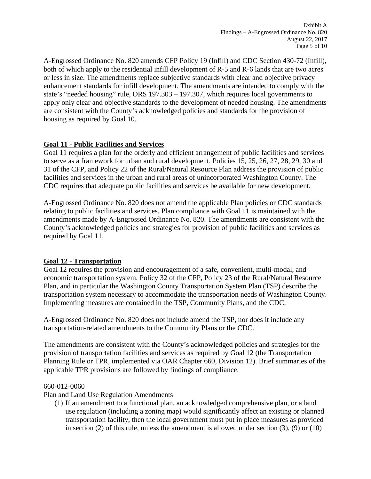A-Engrossed Ordinance No. 820 amends CFP Policy 19 (Infill) and CDC Section 430-72 (Infill), both of which apply to the residential infill development of R-5 and R-6 lands that are two acres or less in size. The amendments replace subjective standards with clear and objective privacy enhancement standards for infill development. The amendments are intended to comply with the state's "needed housing" rule, ORS 197.303 – 197.307, which requires local governments to apply only clear and objective standards to the development of needed housing. The amendments are consistent with the County's acknowledged policies and standards for the provision of housing as required by Goal 10.

# **Goal 11 - Public Facilities and Services**

Goal 11 requires a plan for the orderly and efficient arrangement of public facilities and services to serve as a framework for urban and rural development. Policies 15, 25, 26, 27, 28, 29, 30 and 31 of the CFP, and Policy 22 of the Rural/Natural Resource Plan address the provision of public facilities and services in the urban and rural areas of unincorporated Washington County. The CDC requires that adequate public facilities and services be available for new development.

A-Engrossed Ordinance No. 820 does not amend the applicable Plan policies or CDC standards relating to public facilities and services. Plan compliance with Goal 11 is maintained with the amendments made by A-Engrossed Ordinance No. 820. The amendments are consistent with the County's acknowledged policies and strategies for provision of public facilities and services as required by Goal 11.

# **Goal 12 - Transportation**

Goal 12 requires the provision and encouragement of a safe, convenient, multi-modal, and economic transportation system. Policy 32 of the CFP, Policy 23 of the Rural/Natural Resource Plan, and in particular the Washington County Transportation System Plan (TSP) describe the transportation system necessary to accommodate the transportation needs of Washington County. Implementing measures are contained in the TSP, Community Plans, and the CDC.

A-Engrossed Ordinance No. 820 does not include amend the TSP, nor does it include any transportation-related amendments to the Community Plans or the CDC.

The amendments are consistent with the County's acknowledged policies and strategies for the provision of transportation facilities and services as required by Goal 12 (the Transportation Planning Rule or TPR, implemented via OAR Chapter 660, Division 12). Brief summaries of the applicable TPR provisions are followed by findings of compliance.

# 660-012-0060

Plan and Land Use Regulation Amendments

(1) If an amendment to a functional plan, an acknowledged comprehensive plan, or a land use regulation (including a zoning map) would significantly affect an existing or planned transportation facility, then the local government must put in place measures as provided in section (2) of this rule, unless the amendment is allowed under section (3), (9) or (10)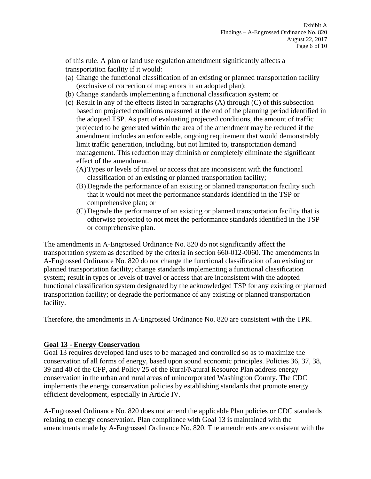of this rule. A plan or land use regulation amendment significantly affects a transportation facility if it would:

- (a) Change the functional classification of an existing or planned transportation facility (exclusive of correction of map errors in an adopted plan);
- (b) Change standards implementing a functional classification system; or
- (c) Result in any of the effects listed in paragraphs (A) through (C) of this subsection based on projected conditions measured at the end of the planning period identified in the adopted TSP. As part of evaluating projected conditions, the amount of traffic projected to be generated within the area of the amendment may be reduced if the amendment includes an enforceable, ongoing requirement that would demonstrably limit traffic generation, including, but not limited to, transportation demand management. This reduction may diminish or completely eliminate the significant effect of the amendment.
	- (A)Types or levels of travel or access that are inconsistent with the functional classification of an existing or planned transportation facility;
	- (B) Degrade the performance of an existing or planned transportation facility such that it would not meet the performance standards identified in the TSP or comprehensive plan; or
	- (C) Degrade the performance of an existing or planned transportation facility that is otherwise projected to not meet the performance standards identified in the TSP or comprehensive plan.

The amendments in A-Engrossed Ordinance No. 820 do not significantly affect the transportation system as described by the criteria in section 660-012-0060. The amendments in A-Engrossed Ordinance No. 820 do not change the functional classification of an existing or planned transportation facility; change standards implementing a functional classification system; result in types or levels of travel or access that are inconsistent with the adopted functional classification system designated by the acknowledged TSP for any existing or planned transportation facility; or degrade the performance of any existing or planned transportation facility.

Therefore, the amendments in A-Engrossed Ordinance No. 820 are consistent with the TPR.

# **Goal 13 - Energy Conservation**

Goal 13 requires developed land uses to be managed and controlled so as to maximize the conservation of all forms of energy, based upon sound economic principles. Policies 36, 37, 38, 39 and 40 of the CFP, and Policy 25 of the Rural/Natural Resource Plan address energy conservation in the urban and rural areas of unincorporated Washington County. The CDC implements the energy conservation policies by establishing standards that promote energy efficient development, especially in Article IV.

A-Engrossed Ordinance No. 820 does not amend the applicable Plan policies or CDC standards relating to energy conservation. Plan compliance with Goal 13 is maintained with the amendments made by A-Engrossed Ordinance No. 820. The amendments are consistent with the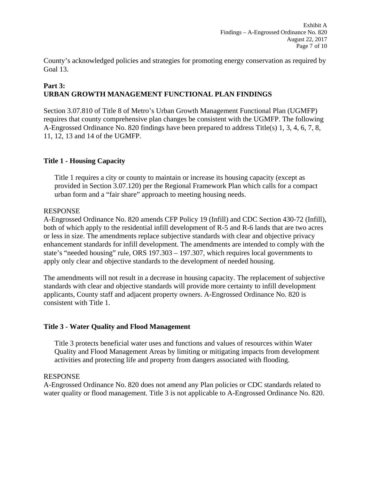County's acknowledged policies and strategies for promoting energy conservation as required by Goal 13.

# **Part 3: URBAN GROWTH MANAGEMENT FUNCTIONAL PLAN FINDINGS**

Section 3.07.810 of Title 8 of Metro's Urban Growth Management Functional Plan (UGMFP) requires that county comprehensive plan changes be consistent with the UGMFP. The following A-Engrossed Ordinance No. 820 findings have been prepared to address Title(s) 1, 3, 4, 6, 7, 8, 11, 12, 13 and 14 of the UGMFP.

# **Title 1 - Housing Capacity**

Title 1 requires a city or county to maintain or increase its housing capacity (except as provided in Section 3.07.120) per the Regional Framework Plan which calls for a compact urban form and a "fair share" approach to meeting housing needs.

## RESPONSE

A-Engrossed Ordinance No. 820 amends CFP Policy 19 (Infill) and CDC Section 430-72 (Infill), both of which apply to the residential infill development of R-5 and R-6 lands that are two acres or less in size. The amendments replace subjective standards with clear and objective privacy enhancement standards for infill development. The amendments are intended to comply with the state's "needed housing" rule, ORS 197.303 – 197.307, which requires local governments to apply only clear and objective standards to the development of needed housing.

The amendments will not result in a decrease in housing capacity. The replacement of subjective standards with clear and objective standards will provide more certainty to infill development applicants, County staff and adjacent property owners. A-Engrossed Ordinance No. 820 is consistent with Title 1.

# **Title 3 - Water Quality and Flood Management**

Title 3 protects beneficial water uses and functions and values of resources within Water Quality and Flood Management Areas by limiting or mitigating impacts from development activities and protecting life and property from dangers associated with flooding.

# RESPONSE

A-Engrossed Ordinance No. 820 does not amend any Plan policies or CDC standards related to water quality or flood management. Title 3 is not applicable to A-Engrossed Ordinance No. 820.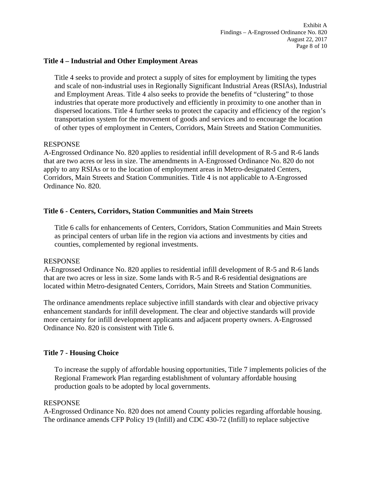### **Title 4 – Industrial and Other Employment Areas**

Title 4 seeks to provide and protect a supply of sites for employment by limiting the types and scale of non-industrial uses in Regionally Significant Industrial Areas (RSIAs), Industrial and Employment Areas. Title 4 also seeks to provide the benefits of "clustering" to those industries that operate more productively and efficiently in proximity to one another than in dispersed locations. Title 4 further seeks to protect the capacity and efficiency of the region's transportation system for the movement of goods and services and to encourage the location of other types of employment in Centers, Corridors, Main Streets and Station Communities.

#### RESPONSE

A-Engrossed Ordinance No. 820 applies to residential infill development of R-5 and R-6 lands that are two acres or less in size. The amendments in A-Engrossed Ordinance No. 820 do not apply to any RSIAs or to the location of employment areas in Metro-designated Centers, Corridors, Main Streets and Station Communities. Title 4 is not applicable to A-Engrossed Ordinance No. 820.

## **Title 6 - Centers, Corridors, Station Communities and Main Streets**

Title 6 calls for enhancements of Centers, Corridors, Station Communities and Main Streets as principal centers of urban life in the region via actions and investments by cities and counties, complemented by regional investments.

#### RESPONSE

A-Engrossed Ordinance No. 820 applies to residential infill development of R-5 and R-6 lands that are two acres or less in size. Some lands with R-5 and R-6 residential designations are located within Metro-designated Centers, Corridors, Main Streets and Station Communities.

The ordinance amendments replace subjective infill standards with clear and objective privacy enhancement standards for infill development. The clear and objective standards will provide more certainty for infill development applicants and adjacent property owners. A-Engrossed Ordinance No. 820 is consistent with Title 6.

## **Title 7 - Housing Choice**

To increase the supply of affordable housing opportunities, Title 7 implements policies of the Regional Framework Plan regarding establishment of voluntary affordable housing production goals to be adopted by local governments.

### RESPONSE

A-Engrossed Ordinance No. 820 does not amend County policies regarding affordable housing. The ordinance amends CFP Policy 19 (Infill) and CDC 430-72 (Infill) to replace subjective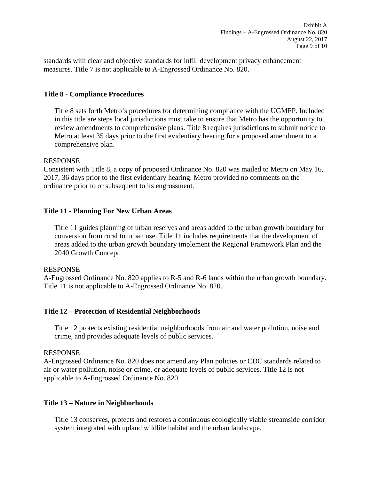standards with clear and objective standards for infill development privacy enhancement measures. Title 7 is not applicable to A-Engrossed Ordinance No. 820.

## **Title 8 - Compliance Procedures**

Title 8 sets forth Metro's procedures for determining compliance with the UGMFP. Included in this title are steps local jurisdictions must take to ensure that Metro has the opportunity to review amendments to comprehensive plans. Title 8 requires jurisdictions to submit notice to Metro at least 35 days prior to the first evidentiary hearing for a proposed amendment to a comprehensive plan.

## RESPONSE

Consistent with Title 8, a copy of proposed Ordinance No. 820 was mailed to Metro on May 16, 2017, 36 days prior to the first evidentiary hearing. Metro provided no comments on the ordinance prior to or subsequent to its engrossment.

## **Title 11 - Planning For New Urban Areas**

Title 11 guides planning of urban reserves and areas added to the urban growth boundary for conversion from rural to urban use. Title 11 includes requirements that the development of areas added to the urban growth boundary implement the Regional Framework Plan and the 2040 Growth Concept.

## RESPONSE

A-Engrossed Ordinance No. 820 applies to R-5 and R-6 lands within the urban growth boundary. Title 11 is not applicable to A-Engrossed Ordinance No. 820.

## **Title 12 – Protection of Residential Neighborhoods**

Title 12 protects existing residential neighborhoods from air and water pollution, noise and crime, and provides adequate levels of public services.

## RESPONSE

A-Engrossed Ordinance No. 820 does not amend any Plan policies or CDC standards related to air or water pollution, noise or crime, or adequate levels of public services. Title 12 is not applicable to A-Engrossed Ordinance No. 820.

## **Title 13 – Nature in Neighborhoods**

Title 13 conserves, protects and restores a continuous ecologically viable streamside corridor system integrated with upland wildlife habitat and the urban landscape.